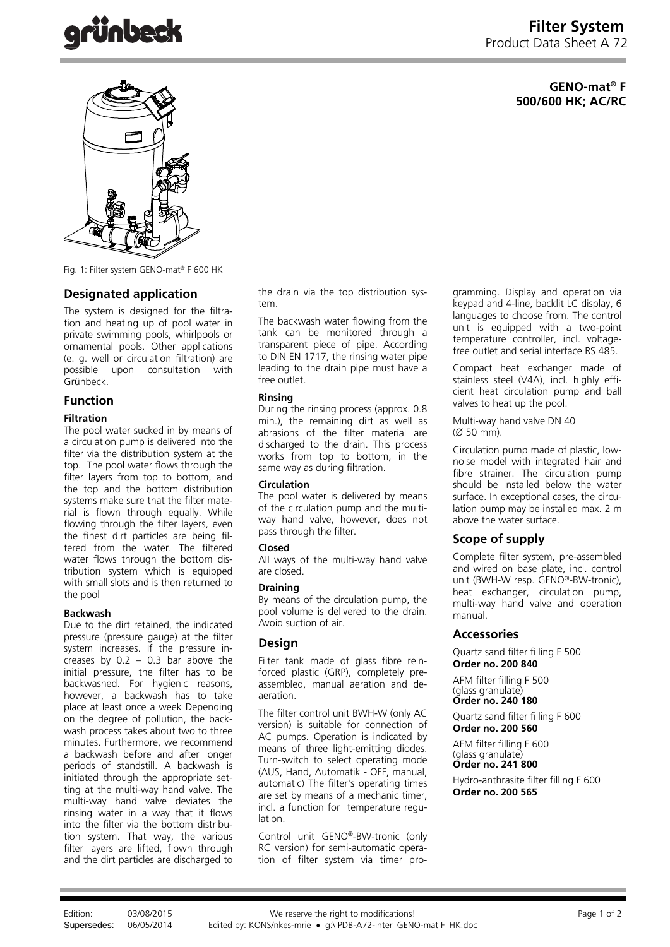# **GENO-mat® F 500/600 HK; AC/RC**



Fig. 1: Filter system GENO-mat® F 600 HK

# **Designated application**

The system is designed for the filtration and heating up of pool water in private swimming pools, whirlpools or ornamental pools. Other applications (e. g. well or circulation filtration) are possible upon consultation with Grünbeck.

## **Function**

#### **Filtration**

The pool water sucked in by means of a circulation pump is delivered into the filter via the distribution system at the top. The pool water flows through the filter layers from top to bottom, and the top and the bottom distribution systems make sure that the filter material is flown through equally. While flowing through the filter layers, even the finest dirt particles are being filtered from the water. The filtered water flows through the bottom distribution system which is equipped with small slots and is then returned to the pool

#### **Backwash**

Due to the dirt retained, the indicated pressure (pressure gauge) at the filter system increases. If the pressure increases by  $0.2 - 0.3$  bar above the initial pressure, the filter has to be backwashed. For hygienic reasons, however, a backwash has to take place at least once a week Depending on the degree of pollution, the backwash process takes about two to three minutes. Furthermore, we recommend a backwash before and after longer periods of standstill. A backwash is initiated through the appropriate setting at the multi-way hand valve. The multi-way hand valve deviates the rinsing water in a way that it flows into the filter via the bottom distribution system. That way, the various filter layers are lifted, flown through and the dirt particles are discharged to

the drain via the top distribution system.

The backwash water flowing from the tank can be monitored through a transparent piece of pipe. According to DIN EN 1717, the rinsing water pipe leading to the drain pipe must have a free outlet.

#### **Rinsing**

During the rinsing process (approx. 0.8 min.), the remaining dirt as well as abrasions of the filter material are discharged to the drain. This process works from top to bottom, in the same way as during filtration.

#### **Circulation**

The pool water is delivered by means of the circulation pump and the multiway hand valve, however, does not pass through the filter.

#### **Closed**

All ways of the multi-way hand valve are closed.

## **Draining**

By means of the circulation pump, the pool volume is delivered to the drain. Avoid suction of air.

## **Design**

Filter tank made of glass fibre reinforced plastic (GRP), completely preassembled, manual aeration and deaeration.

The filter control unit BWH-W (only AC version) is suitable for connection of AC pumps. Operation is indicated by means of three light-emitting diodes. Turn-switch to select operating mode (AUS, Hand, Automatik - OFF, manual, automatic) The filter's operating times are set by means of a mechanic timer, incl. a function for temperature regulation.

Control unit GENO®-BW-tronic (only RC version) for semi-automatic operation of filter system via timer programming. Display and operation via keypad and 4-line, backlit LC display, 6 languages to choose from. The control unit is equipped with a two-point temperature controller, incl. voltagefree outlet and serial interface RS 485.

Compact heat exchanger made of stainless steel (V4A), incl. highly efficient heat circulation pump and ball valves to heat up the pool.

Multi-way hand valve DN 40 (Ø 50 mm).

Circulation pump made of plastic, lownoise model with integrated hair and fibre strainer. The circulation pump should be installed below the water surface. In exceptional cases, the circulation pump may be installed max. 2 m above the water surface.

## **Scope of supply**

Complete filter system, pre-assembled and wired on base plate, incl. control unit (BWH-W resp. GENO®-BW-tronic), heat exchanger, circulation pump, multi-way hand valve and operation manual.

## **Accessories**

Quartz sand filter filling F 500 **Order no. 200 840**

AFM filter filling F 500 (glass granulate) **Order no. 240 180**

Quartz sand filter filling F 600 **Order no. 200 560** 

AFM filter filling F 600 (glass granulate) **Order no. 241 800** 

Hydro-anthrasite filter filling F 600 **Order no. 200 565**